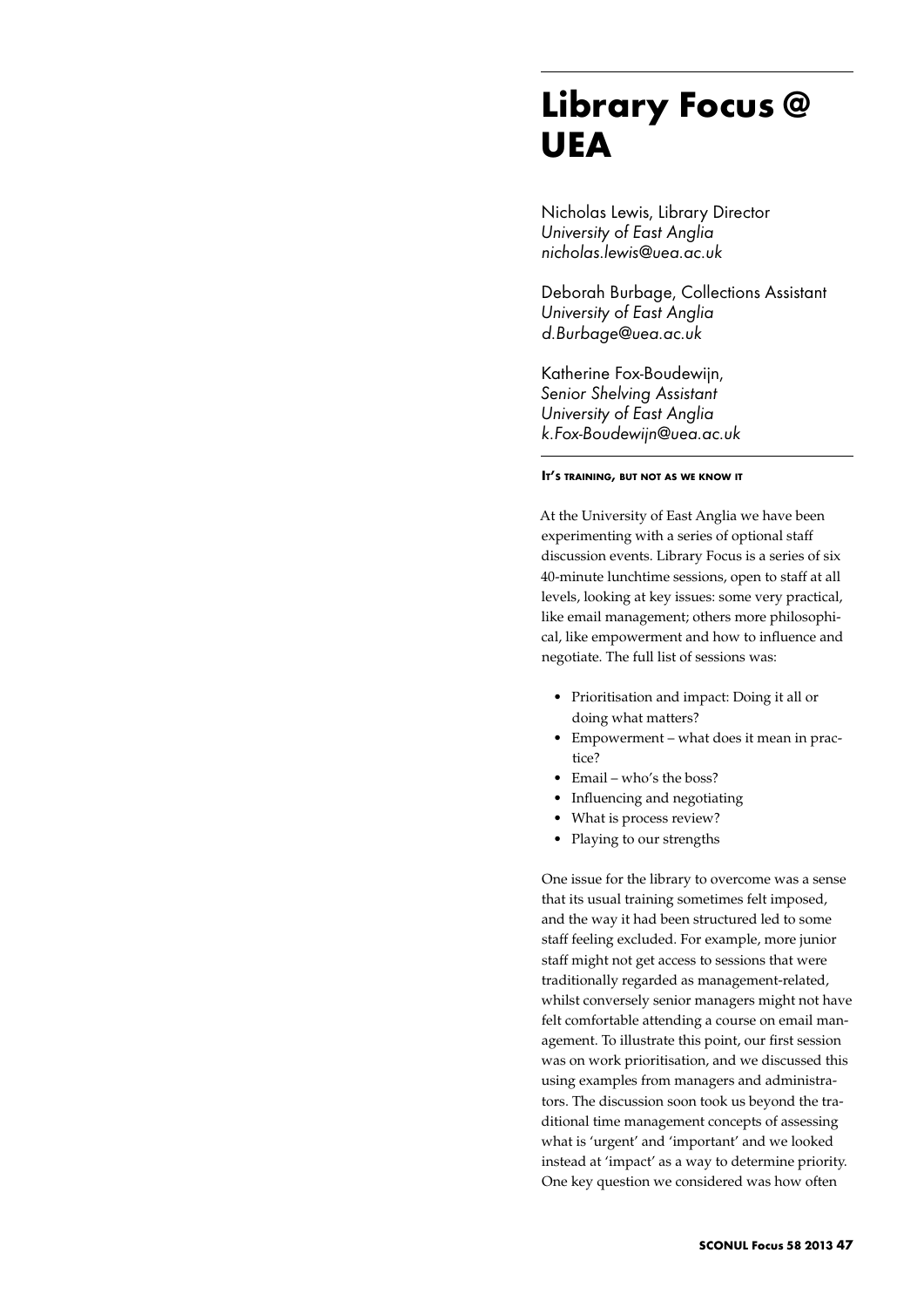# **Library Focus @ UEA**

Nicholas Lewis, Library Director *University of East Anglia nicholas.lewis@uea.ac.uk*

Deborah Burbage, Collections Assistant *University of East Anglia d.Burbage@uea.ac.uk*

Katherine Fox-Boudewijn, *Senior Shelving Assistant University of East Anglia k.Fox-Boudewijn@uea.ac.uk*

### **It's training, but not as we know it**

At the University of East Anglia we have been experimenting with a series of optional staff discussion events. Library Focus is a series of six 40-minute lunchtime sessions, open to staff at all levels, looking at key issues: some very practical, like email management; others more philosophical, like empowerment and how to influence and negotiate. The full list of sessions was:

- • Prioritisation and impact: Doing it all or doing what matters?
- Empowerment what does it mean in practice?
- Email who's the boss?
- • Influencing and negotiating
- What is process review?
- • Playing to our strengths

One issue for the library to overcome was a sense that its usual training sometimes felt imposed, and the way it had been structured led to some staff feeling excluded. For example, more junior staff might not get access to sessions that were traditionally regarded as management-related, whilst conversely senior managers might not have felt comfortable attending a course on email management. To illustrate this point, our first session was on work prioritisation, and we discussed this using examples from managers and administrators. The discussion soon took us beyond the traditional time management concepts of assessing what is 'urgent' and 'important' and we looked instead at 'impact' as a way to determine priority. One key question we considered was how often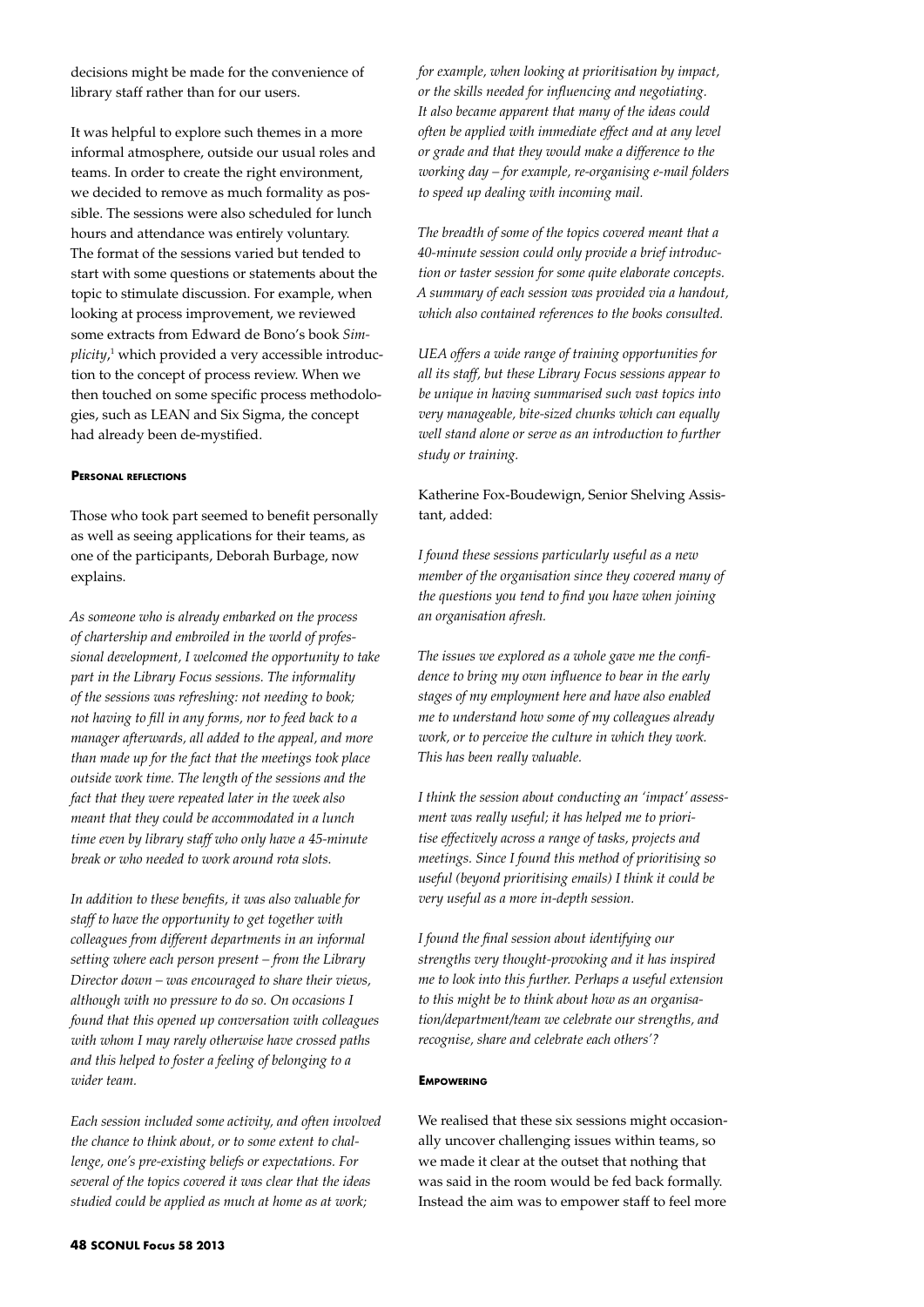decisions might be made for the convenience of library staff rather than for our users.

It was helpful to explore such themes in a more informal atmosphere, outside our usual roles and teams. In order to create the right environment, we decided to remove as much formality as possible. The sessions were also scheduled for lunch hours and attendance was entirely voluntary. The format of the sessions varied but tended to start with some questions or statements about the topic to stimulate discussion. For example, when looking at process improvement, we reviewed some extracts from Edward de Bono's book *Simplicity*, 1 which provided a very accessible introduction to the concept of process review. When we then touched on some specific process methodologies, such as LEAN and Six Sigma, the concept had already been de-mystified.

## **Personal reflections**

Those who took part seemed to benefit personally as well as seeing applications for their teams, as one of the participants, Deborah Burbage, now explains.

*As someone who is already embarked on the process of chartership and embroiled in the world of professional development, I welcomed the opportunity to take part in the Library Focus sessions. The informality of the sessions was refreshing: not needing to book; not having to fill in any forms, nor to feed back to a manager afterwards, all added to the appeal, and more than made up for the fact that the meetings took place outside work time. The length of the sessions and the fact that they were repeated later in the week also meant that they could be accommodated in a lunch time even by library staff who only have a 45-minute break or who needed to work around rota slots.*

*In addition to these benefits, it was also valuable for staff to have the opportunity to get together with colleagues from different departments in an informal setting where each person present – from the Library Director down – was encouraged to share their views, although with no pressure to do so. On occasions I found that this opened up conversation with colleagues with whom I may rarely otherwise have crossed paths and this helped to foster a feeling of belonging to a wider team.*

*Each session included some activity, and often involved the chance to think about, or to some extent to challenge, one's pre-existing beliefs or expectations. For several of the topics covered it was clear that the ideas studied could be applied as much at home as at work;* 

*for example, when looking at prioritisation by impact, or the skills needed for influencing and negotiating. It also became apparent that many of the ideas could often be applied with immediate effect and at any level or grade and that they would make a difference to the working day – for example, re-organising e-mail folders to speed up dealing with incoming mail.*

*The breadth of some of the topics covered meant that a 40-minute session could only provide a brief introduction or taster session for some quite elaborate concepts. A summary of each session was provided via a handout, which also contained references to the books consulted.*

*UEA offers a wide range of training opportunities for all its staff, but these Library Focus sessions appear to be unique in having summarised such vast topics into very manageable, bite-sized chunks which can equally well stand alone or serve as an introduction to further study or training.*

Katherine Fox-Boudewign, Senior Shelving Assistant, added:

*I found these sessions particularly useful as a new member of the organisation since they covered many of the questions you tend to find you have when joining an organisation afresh.* 

*The issues we explored as a whole gave me the confidence to bring my own influence to bear in the early stages of my employment here and have also enabled me to understand how some of my colleagues already work, or to perceive the culture in which they work. This has been really valuable.* 

*I think the session about conducting an 'impact' assessment was really useful; it has helped me to prioritise effectively across a range of tasks, projects and meetings. Since I found this method of prioritising so useful (beyond prioritising emails) I think it could be very useful as a more in-depth session.*

*I found the final session about identifying our strengths very thought-provoking and it has inspired me to look into this further. Perhaps a useful extension to this might be to think about how as an organisation/department/team we celebrate our strengths, and recognise, share and celebrate each others'?*

## **EMPOWERING**

We realised that these six sessions might occasionally uncover challenging issues within teams, so we made it clear at the outset that nothing that was said in the room would be fed back formally. Instead the aim was to empower staff to feel more